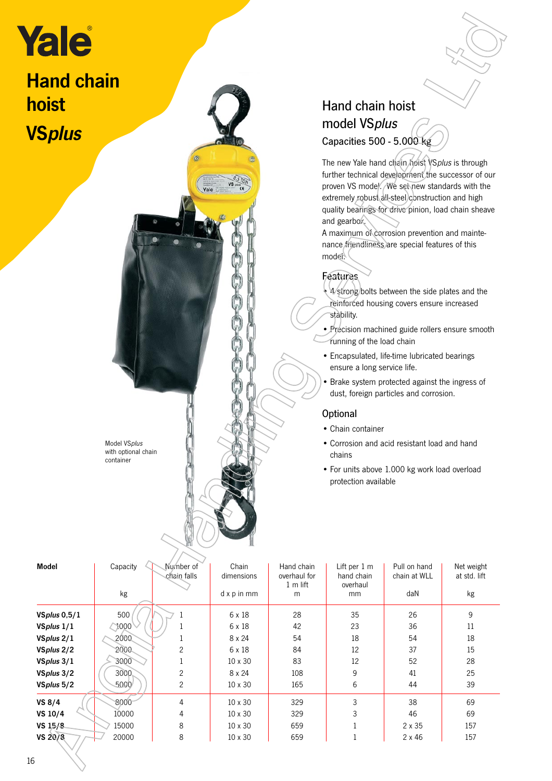# **Hand chain** hoist **VSplus**

# Hand chain hoist model VSplus Capacities 500 - 5.000 kg

## Features

- 4 strong bolts between the side plates and the reinforced housing covers ensure increased stability.
- Precision machined guide rollers ensure smooth running of the load chain
- Encapsulated, life-time lubricated bearings ensure a long service life.
- Brake system protected against the ingress of dust, foreign particles and corrosion.

#### **Optional**

- Chain container
- Corrosion and acid resistant load and hand chains
- For units above 1.000 kg work load overload protection available

| <b>ale</b>                        |                                                  |                          |                     |                            |                                                                                                                                                                                                                                                                                                                                                                                                                                                                                                                                                                                                                                                                                                                                                                                                                                                                                                                                                                   |                              |                            |  |
|-----------------------------------|--------------------------------------------------|--------------------------|---------------------|----------------------------|-------------------------------------------------------------------------------------------------------------------------------------------------------------------------------------------------------------------------------------------------------------------------------------------------------------------------------------------------------------------------------------------------------------------------------------------------------------------------------------------------------------------------------------------------------------------------------------------------------------------------------------------------------------------------------------------------------------------------------------------------------------------------------------------------------------------------------------------------------------------------------------------------------------------------------------------------------------------|------------------------------|----------------------------|--|
| <b>land chain</b><br><b>loist</b> |                                                  |                          |                     |                            | Hand chain hoist                                                                                                                                                                                                                                                                                                                                                                                                                                                                                                                                                                                                                                                                                                                                                                                                                                                                                                                                                  |                              |                            |  |
|                                   |                                                  |                          |                     |                            | model VSplus                                                                                                                                                                                                                                                                                                                                                                                                                                                                                                                                                                                                                                                                                                                                                                                                                                                                                                                                                      |                              |                            |  |
| <b>'Splus</b>                     |                                                  |                          |                     | Capacities 500 - 5.000 kg  |                                                                                                                                                                                                                                                                                                                                                                                                                                                                                                                                                                                                                                                                                                                                                                                                                                                                                                                                                                   |                              |                            |  |
|                                   | Model VSplus<br>with optional chain<br>container |                          |                     |                            | The new Yale hand chain hoist VSplus is through<br>further technical development the successor of our<br>proven VS model. / We set new standards with the<br>extremely robust all-steel construction and high<br>quality bearings for drive pinion, load chain sheave<br>and gearbox.<br>A maximum of corrosion prevention and mainte-<br>nance friendliness are special features of this<br>model.<br>Features<br>4 4 strong/bolts between the side plates and the<br>reinforced housing covers ensure increased<br>stability.<br>• Précision machined guide rollers ensure smooth<br>running of the load chain<br>• Encapsulated, life-time lubricated bearings<br>ensure a long service life.<br>• Brake system protected against the ingress of<br>dust, foreign particles and corrosion.<br>Optional<br>• Chain container<br>• Corrosion and acid resistant load and hand<br>chains<br>• For units above 1.000 kg work load overload<br>protection available |                              |                            |  |
| <b>Model</b>                      | Capacity                                         | Number of<br>chain falls | Chain<br>dimensions | Hand chain<br>overhaul for | Lift per 1 m<br>hand chain                                                                                                                                                                                                                                                                                                                                                                                                                                                                                                                                                                                                                                                                                                                                                                                                                                                                                                                                        | Pull on hand<br>chain at WLL | Net weight<br>at std. lift |  |
|                                   | kg                                               |                          | d x p in mm         | 1 m lift<br>${\sf m}$      | overhaul<br>mm                                                                                                                                                                                                                                                                                                                                                                                                                                                                                                                                                                                                                                                                                                                                                                                                                                                                                                                                                    | daN                          | kg                         |  |
| VSplus $0,5/1$                    | 500                                              | 1                        | 6 x 18              | 28                         | 35                                                                                                                                                                                                                                                                                                                                                                                                                                                                                                                                                                                                                                                                                                                                                                                                                                                                                                                                                                | 26                           | 9                          |  |
| VSplus 1/1                        | $\bigcirc$ 1000                                  | $\mathbf 1$              | 6 x 18              | 42                         | 23                                                                                                                                                                                                                                                                                                                                                                                                                                                                                                                                                                                                                                                                                                                                                                                                                                                                                                                                                                | 36                           | 11                         |  |
| VSplus 2/1                        | 2000                                             | 1                        | 8 x 24              | 54                         | 18                                                                                                                                                                                                                                                                                                                                                                                                                                                                                                                                                                                                                                                                                                                                                                                                                                                                                                                                                                | 54                           | 18                         |  |
| VSplus 2/2                        | 2000                                             | 2                        | 6 x 18              | 84                         | 12                                                                                                                                                                                                                                                                                                                                                                                                                                                                                                                                                                                                                                                                                                                                                                                                                                                                                                                                                                | 37                           | 15                         |  |
| VSplus 3/1                        | 3000                                             | $\mathbf{1}$             | 10 x 30             | 83                         | 12                                                                                                                                                                                                                                                                                                                                                                                                                                                                                                                                                                                                                                                                                                                                                                                                                                                                                                                                                                | 52                           | 28                         |  |
| VSplus 3/2                        | 3000                                             | 2                        | 8 x 24              | 108                        | 9                                                                                                                                                                                                                                                                                                                                                                                                                                                                                                                                                                                                                                                                                                                                                                                                                                                                                                                                                                 | 41                           | 25                         |  |
| VSplus 5/2                        | 5000                                             | $\overline{c}$           | 10 x 30             | 165                        | 6                                                                                                                                                                                                                                                                                                                                                                                                                                                                                                                                                                                                                                                                                                                                                                                                                                                                                                                                                                 | 44                           | 39                         |  |
| <b>VS 8/4</b>                     | 8000                                             | 4                        | 10 x 30             | 329                        | 3                                                                                                                                                                                                                                                                                                                                                                                                                                                                                                                                                                                                                                                                                                                                                                                                                                                                                                                                                                 | 38                           | 69                         |  |
| VS 10/4                           | 10000                                            | 4                        | 10 x 30             | 329                        | 3                                                                                                                                                                                                                                                                                                                                                                                                                                                                                                                                                                                                                                                                                                                                                                                                                                                                                                                                                                 | 46                           | 69                         |  |
| VS 15/8                           | 15000                                            | 8                        | 10 x 30             | 659                        | $\mathbf{1}$                                                                                                                                                                                                                                                                                                                                                                                                                                                                                                                                                                                                                                                                                                                                                                                                                                                                                                                                                      | 2 x 35                       | 157                        |  |
| VS 20/8                           | 20000                                            | 8                        | 10 x 30             | 659                        | $\mathbf{1}$                                                                                                                                                                                                                                                                                                                                                                                                                                                                                                                                                                                                                                                                                                                                                                                                                                                                                                                                                      | $2 \times 46$                | 157                        |  |
|                                   |                                                  |                          |                     |                            |                                                                                                                                                                                                                                                                                                                                                                                                                                                                                                                                                                                                                                                                                                                                                                                                                                                                                                                                                                   |                              |                            |  |